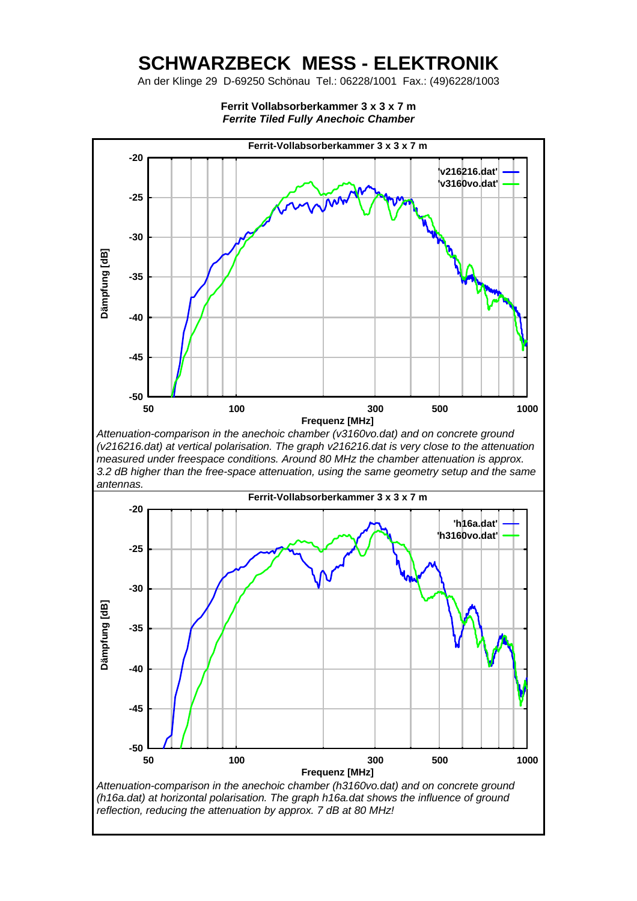## **SCHWARZBECK MESS - ELEKTRONIK**

An der Klinge 29 D-69250 Schönau Tel.: 06228/1001 Fax.: (49)6228/1003



**Ferrit Vollabsorberkammer 3 x 3 x 7 m**  *Ferrite Tiled Fully Anechoic Chamber*

*Attenuation-comparison in the anechoic chamber (v3160vo.dat) and on concrete ground (v216216.dat) at vertical polarisation. The graph v216216.dat is very close to the attenuation measured under freespace conditions. Around 80 MHz the chamber attenuation is approx. 3.2 dB higher than the free-space attenuation, using the same geometry setup and the same antennas.*

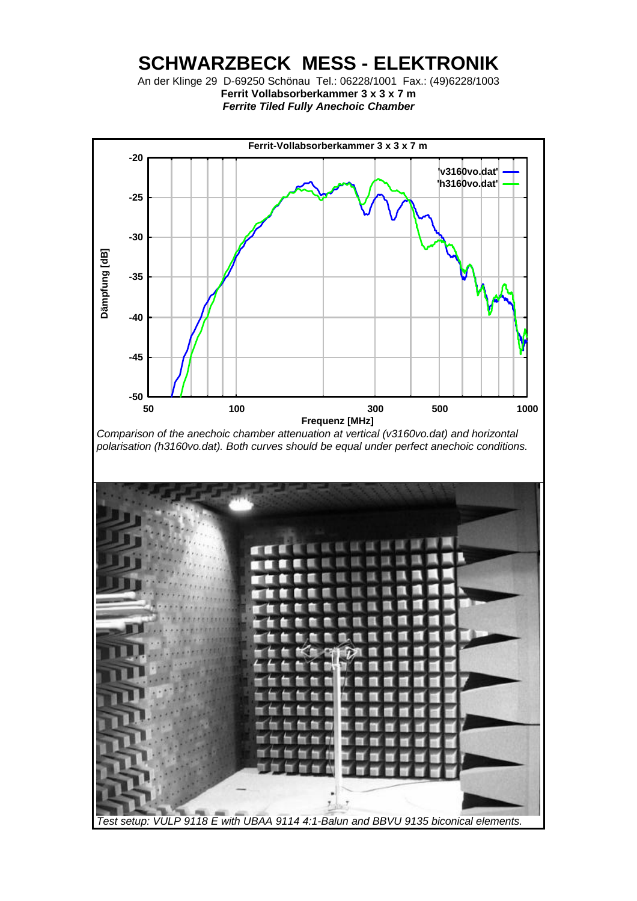## **SCHWARZBECK MESS - ELEKTRONIK**

An der Klinge 29 D-69250 Schönau Tel.: 06228/1001 Fax.: (49)6228/1003 **Ferrit Vollabsorberkammer 3 x 3 x 7 m**  *Ferrite Tiled Fully Anechoic Chamber*



*Test setup: VULP 9118 E with UBAA 9114 4:1-Balun and BBVU 9135 biconical elements.*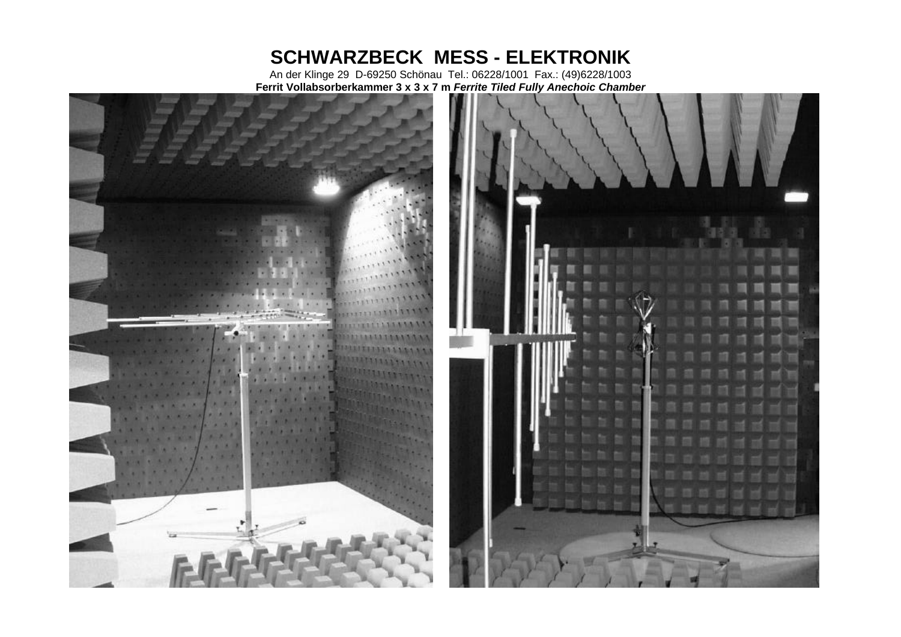